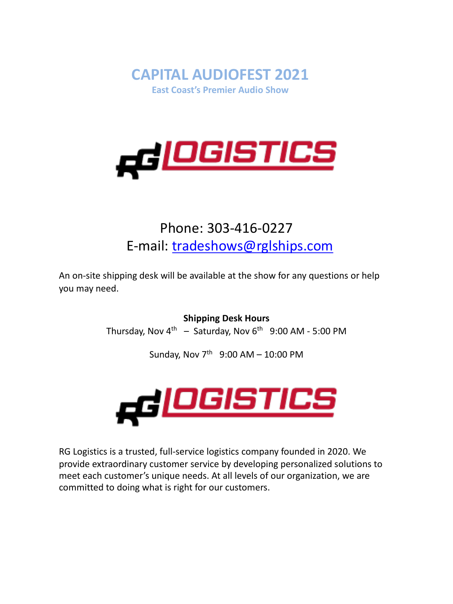



# Phone: 303-416-0227 E-mail: tradeshows@rglships.com

An on-site shipping desk will be available at the show for any questions or help you may need.

**Shipping Desk Hours**

Thursday, Nov  $4^{th}$  – Saturday, Nov  $6^{th}$  9:00 AM - 5:00 PM

Sunday, Nov  $7^{th}$  9:00 AM - 10:00 PM



RG Logistics is a trusted, full-service logistics company founded in 2020. We provide extraordinary customer service by developing personalized solutions to meet each customer's unique needs. At all levels of our organization, we are committed to doing what is right for our customers.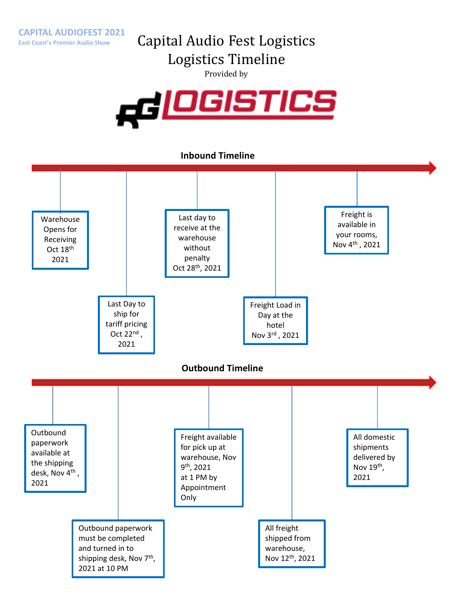# Capital Audio Fest Logistics

Logistics Timeline

Provided by



### **Inbound Timeline**

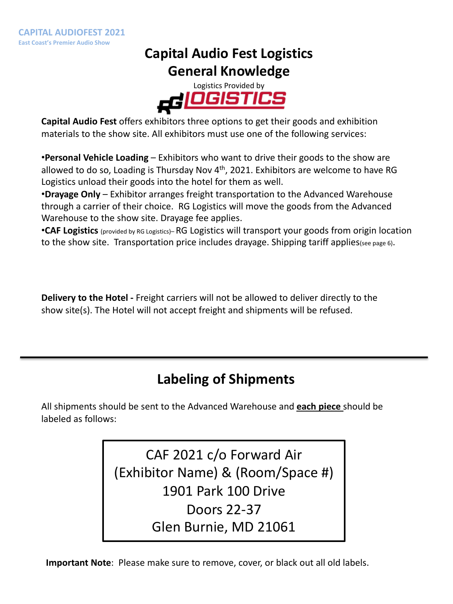### **Capital Audio Fest Logistics General Knowledge**



**Capital Audio Fest** offers exhibitors three options to get their goods and exhibition materials to the show site. All exhibitors must use one of the following services:

•**Personal Vehicle Loading** – Exhibitors who want to drive their goods to the show are allowed to do so, Loading is Thursday Nov  $4<sup>th</sup>$ , 2021. Exhibitors are welcome to have RG Logistics unload their goods into the hotel for them as well.

•**Drayage Only** – Exhibitor arranges freight transportation to the Advanced Warehouse through a carrier of their choice. RG Logistics will move the goods from the Advanced Warehouse to the show site. Drayage fee applies.

•**CAF Logistics** (provided by RG Logistics)– RG Logistics will transport your goods from origin location to the show site. Transportation price includes drayage. Shipping tariff applies(see page 6).

**Delivery to the Hotel -** Freight carriers will not be allowed to deliver directly to the show site(s). The Hotel will not accept freight and shipments will be refused.

# **Labeling of Shipments**

All shipments should be sent to the Advanced Warehouse and **each piece** should be labeled as follows:

> CAF 2021 c/o Forward Air (Exhibitor Name) & (Room/Space #) 1901 Park 100 Drive Doors 22-37 Glen Burnie, MD 21061

**Important Note**: Please make sure to remove, cover, or black out all old labels.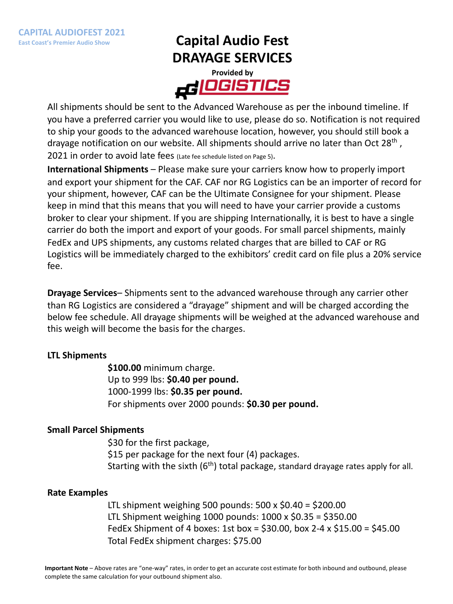# **Capital Audio Fest DRAYAGE SERVICES**



All shipments should be sent to the Advanced Warehouse as per the inbound timeline. If you have a preferred carrier you would like to use, please do so. Notification is not required to ship your goods to the advanced warehouse location, however, you should still book a drayage notification on our website. All shipments should arrive no later than Oct 28<sup>th</sup>, 2021 in order to avoid late fees (Late fee schedule listed on Page 5).

**International Shipments** – Please make sure your carriers know how to properly import and export your shipment for the CAF. CAF nor RG Logistics can be an importer of record for your shipment, however, CAF can be the Ultimate Consignee for your shipment. Please keep in mind that this means that you will need to have your carrier provide a customs broker to clear your shipment. If you are shipping Internationally, it is best to have a single carrier do both the import and export of your goods. For small parcel shipments, mainly FedEx and UPS shipments, any customs related charges that are billed to CAF or RG Logistics will be immediately charged to the exhibitors' credit card on file plus a 20% service fee.

**Drayage Services**– Shipments sent to the advanced warehouse through any carrier other than RG Logistics are considered a "drayage" shipment and will be charged according the below fee schedule. All drayage shipments will be weighed at the advanced warehouse and this weigh will become the basis for the charges.

### **LTL Shipments**

**\$100.00** minimum charge. Up to 999 lbs: **\$0.40 per pound.**  1000-1999 lbs: **\$0.35 per pound.**  For shipments over 2000 pounds: **\$0.30 per pound.**

### **Small Parcel Shipments**

\$30 for the first package, \$15 per package for the next four (4) packages. Starting with the sixth  $(6<sup>th</sup>)$  total package, standard drayage rates apply for all.

### **Rate Examples**

LTL shipment weighing 500 pounds: 500 x \$0.40 = \$200.00 LTL Shipment weighing 1000 pounds: 1000 x \$0.35 = \$350.00 FedEx Shipment of 4 boxes: 1st box = \$30.00, box 2-4 x \$15.00 = \$45.00 Total FedEx shipment charges: \$75.00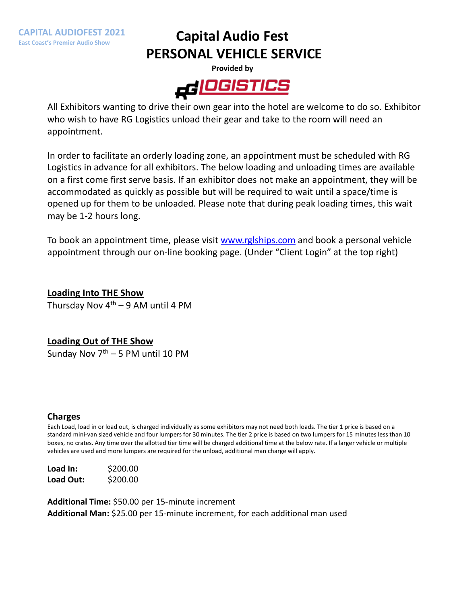**CAPITAL AUDIOFEST 2021 East Coast's Premier Audio Show**

# **Capital Audio Fest PERSONAL VEHICLE SERVICE**



All Exhibitors wanting to drive their own gear into the hotel are welcome to do so. Exhibitor who wish to have RG Logistics unload their gear and take to the room will need an appointment.

In order to facilitate an orderly loading zone, an appointment must be scheduled with RG Logistics in advance for all exhibitors. The below loading and unloading times are available on a first come first serve basis. If an exhib[itor does not make](http://www.rglships.com/) an appointment, they will be accommodated as quickly as possible but will be required to wait until a space/time is opened up for them to be unloaded. Please note that during peak loading times, this wait may be 1-2 hours long.

To book an appointment time, please visit www.rglships.com and book a personal vehicle appointment through our on-line booking page. (Under "Client Login" at the top right)

**Loading Into THE Show** Thursday Nov  $4<sup>th</sup> - 9$  AM until 4 PM

### **Loading Out of THE Show**

Sunday Nov  $7<sup>th</sup> - 5$  PM until 10 PM

#### **Charges**

Each Load, load in or load out, is charged individually as some exhibitors may not need both loads. The tier 1 price is based on a standard mini-van sized vehicle and four lumpers for 30 minutes. The tier 2 price is based on two lumpers for 15 minutes less than 10 boxes, no crates. Any time over the allotted tier time will be charged additional time at the below rate. If a larger vehicle or multiple vehicles are used and more lumpers are required for the unload, additional man charge will apply.

| Load In:  | \$200.00 |
|-----------|----------|
| Load Out: | \$200.00 |

**Additional Time:** \$50.00 per 15-minute increment **Additional Man:** \$25.00 per 15-minute increment, for each additional man used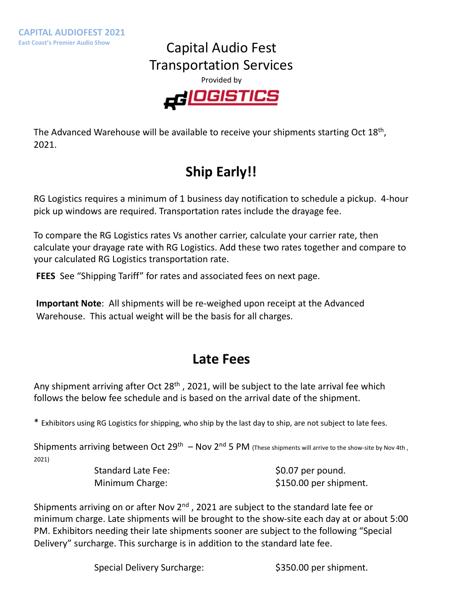### Capital Audio Fest Transportation Services





The Advanced Warehouse will be available to receive your shipments starting Oct  $18<sup>th</sup>$ , 2021.

# **Ship Early!!**

RG Logistics requires a minimum of 1 business day notification to schedule a pickup. 4-hour pick up windows are required. Transportation rates include the drayage fee.

To compare the RG Logistics rates Vs another carrier, calculate your carrier rate, then calculate your drayage rate with RG Logistics. Add these two rates together and compare to your calculated RG Logistics transportation rate.

**FEES** See "Shipping Tariff" for rates and associated fees on next page.

**Important Note**: All shipments will be re-weighed upon receipt at the Advanced Warehouse. This actual weight will be the basis for all charges.

### **Late Fees**

Any shipment arriving after Oct  $28<sup>th</sup>$ , 2021, will be subject to the late arrival fee which follows the below fee schedule and is based on the arrival date of the shipment.

\* Exhibitors using RG Logistics for shipping, who ship by the last day to ship, are not subject to late fees.

Shipments arriving between Oct 29<sup>th</sup> – Nov 2<sup>nd</sup> 5 PM (These shipments will arrive to the show-site by Nov 4th, 2021)

Standard Late Fee:  $$0.07$  per pound.

Minimum Charge:  $$150.00$  per shipment.

Shipments arriving on or after Nov 2<sup>nd</sup>, 2021 are subject to the standard late fee or minimum charge. Late shipments will be brought to the show-site each day at or about 5:00 PM. Exhibitors needing their late shipments sooner are subject to the following "Special Delivery" surcharge. This surcharge is in addition to the standard late fee.

Special Delivery Surcharge:  $$350.00$  per shipment.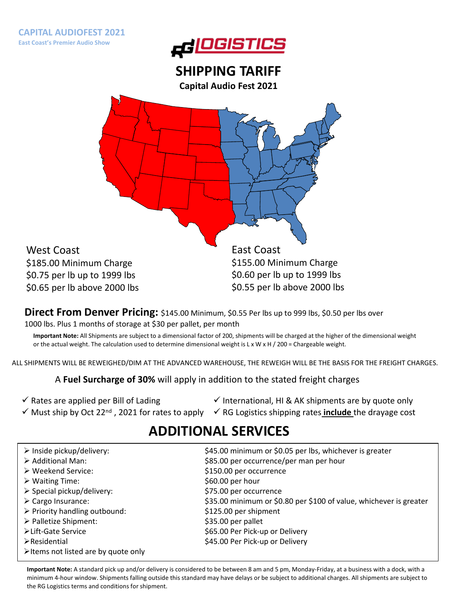

### **SHIPPING TARIFF**

**Capital Audio Fest 2021**

West Coast \$185.00 Minimum Charge \$0.75 per lb up to 1999 lbs \$0.65 per lb above 2000 lbs

CA NV

East Coast \$155.00 Minimum Charge \$0.60 per lb up to 1999 lbs \$0.55 per lb above 2000 lbs

MI

 $\Delta$ 

Direct From Denver Pricing: \$145.00 Minimum, \$0.55 Per lbs up to 999 lbs, \$0.50 per lbs over 1000 lbs. Plus 1 months of storage at \$30 per pallet, per month

**Important Note:** All Shipments are subject to a dimensional factor of 200, shipments will be charged at the higher of the dimensional weight or the actual weight. The calculation used to determine dimensional weight is L x W x H / 200 = Chargeable weight.

ALL SHIPMENTS WILL BE REWEIGHED/DIM AT THE ADVANCED WAREHOUSE, THE REWEIGH WILL BE THE BASIS FOR THE FREIGHT CHARGES.

A **Fuel Surcharge of 30%** will apply in addition to the stated freight charges

 $\checkmark$  Rates are applied per Bill of Lading

 $\checkmark$  International, HI & AK shipments are by quote only

√ Must ship by Oct 22<sup>nd</sup>, 2021 for rates to apply v RG Logistics shipping rates **include** the drayage cost

# **ADDITIONAL SERVICES**

| $\triangleright$ Inside pickup/delivery:            | \$45.00 minimum or \$0.05 per lbs, whichever is greater            |
|-----------------------------------------------------|--------------------------------------------------------------------|
| $\triangleright$ Additional Man:                    | \$85.00 per occurrence/per man per hour                            |
| $\triangleright$ Weekend Service:                   | \$150.00 per occurrence                                            |
| $\triangleright$ Waiting Time:                      | $$60.00$ per hour                                                  |
| $\triangleright$ Special pickup/delivery:           | \$75.00 per occurrence                                             |
| $\triangleright$ Cargo Insurance:                   | \$35.00 minimum or \$0.80 per \$100 of value, whichever is greater |
| $\triangleright$ Priority handling outbound:        | \$125.00 per shipment                                              |
| > Palletize Shipment:                               | \$35.00 per pallet                                                 |
| ≻Lift-Gate Service                                  | \$65.00 Per Pick-up or Delivery                                    |
| $\triangleright$ Residential                        | \$45.00 Per Pick-up or Delivery                                    |
| $\triangleright$ Items not listed are by quote only |                                                                    |

**Important Note:** A standard pick up and/or delivery is considered to be between 8 am and 5 pm, Monday-Friday, at a business with a dock, with a minimum 4-hour window. Shipments falling outside this standard may have delays or be subject to additional charges. All shipments are subject to the RG Logistics terms and conditions for shipment.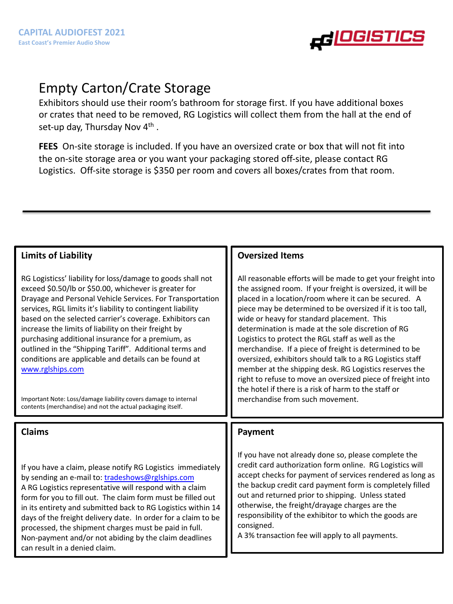

# Empty Carton/Crate Storage

Exhibitors should use their room's bathroom for storage first. If you have additional boxes or crates that need to be removed, RG Logistics will collect them from the hall at the end of set-up day, Thursday Nov 4<sup>th</sup>.

**FEES** On-site storage is included. If you have an oversized crate or box that will not fit into the on-site storage area or you want your packaging stored off-site, please contact RG Logistics. Off-site storage is \$350 per room and covers all boxes/crates from that room.

### **Limits of Liability**

RG Logisticss' liability for loss/damage to goods shall not exceed \$0.50/lb or \$50.00, whichever is greater for Drayage and Personal Vehicle Services. For Transportation [services, RGL limits](http://www.trans-expedite.com/) it's liability to contingent liability based on the selected carrier's coverage. Exhibitors can increase the limits of liability on their freight by purchasing additional insurance for a premium, as outlined in the "Shipping Tariff". Additional terms and conditions are applicable and details can be found at www.rglships.com

Important Note: Loss/damage liability covers damage to internal contents (merchandise) and not the actual packaging itself.

### **Claims**

If you have a claim, please notify RG Logistics immediately by sending an e-mail to: tradeshows@rglships.com A RG Logistics representative will respond with a claim form for you to fill out. The claim form must be filled out in its entirety and submitted back to RG Logistics within 14 days of the freight delivery date. In order for a claim to be processed, the shipment charges must be paid in full. Non-payment and/or not abiding by the claim deadlines can result in a denied claim.

### **Oversized Items**

All reasonable efforts will be made to get your freight into the assigned room. If your freight is oversized, it will be placed in a location/room where it can be secured. A piece may be determined to be oversized if it is too tall, wide or heavy for standard placement. This determination is made at the sole discretion of RG Logistics to protect the RGL staff as well as the merchandise. If a piece of freight is determined to be oversized, exhibitors should talk to a RG Logistics staff member at the shipping desk. RG Logistics reserves the right to refuse to move an oversized piece of freight into the hotel if there is a risk of harm to the staff or merchandise from such movement.

#### **Payment**

If you have not already done so, please complete the credit card authorization form online. RG Logistics will accept checks for payment of services rendered as long as the backup credit card payment form is completely filled out and returned prior to shipping. Unless stated otherwise, the freight/drayage charges are the responsibility of the exhibitor to which the goods are consigned.

A 3% transaction fee will apply to all payments.